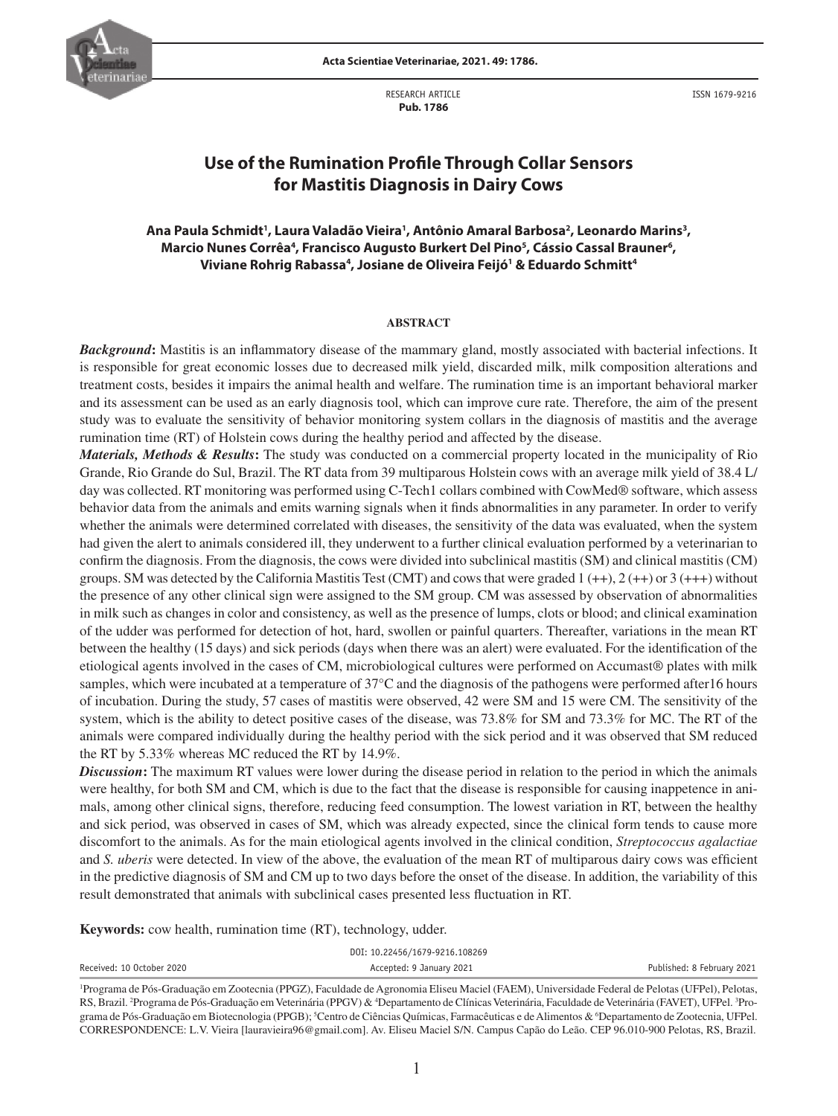

RESEARCH ARTICLE  **Pub. 1786**

ISSN 1679-9216

# **Use of the Rumination Profile Through Collar Sensors for Mastitis Diagnosis in Dairy Cows**

# Ana Paula Schmidt<sup>1</sup>, Laura Valadão Vieira<sup>1</sup>, Antônio Amaral Barbosa<sup>2</sup>, Leonardo Marins<sup>3</sup>, Marcio Nunes Corrêa<sup>4</sup>, Francisco Augusto Burkert Del Pino<sup>5</sup>, Cássio Cassal Brauner<sup>6</sup>, **Viviane Rohrig Rabassa4 , Josiane de Oliveira Feijó1 & Eduardo Schmitt4**

#### **ABSTRACT**

*Background***:** Mastitis is an inflammatory disease of the mammary gland, mostly associated with bacterial infections. It is responsible for great economic losses due to decreased milk yield, discarded milk, milk composition alterations and treatment costs, besides it impairs the animal health and welfare. The rumination time is an important behavioral marker and its assessment can be used as an early diagnosis tool, which can improve cure rate. Therefore, the aim of the present study was to evaluate the sensitivity of behavior monitoring system collars in the diagnosis of mastitis and the average rumination time (RT) of Holstein cows during the healthy period and affected by the disease.

*Materials, Methods & Results***:** The study was conducted on a commercial property located in the municipality of Rio Grande, Rio Grande do Sul, Brazil. The RT data from 39 multiparous Holstein cows with an average milk yield of 38.4 L/ day was collected. RT monitoring was performed using C-Tech1 collars combined with CowMed® software, which assess behavior data from the animals and emits warning signals when it finds abnormalities in any parameter. In order to verify whether the animals were determined correlated with diseases, the sensitivity of the data was evaluated, when the system had given the alert to animals considered ill, they underwent to a further clinical evaluation performed by a veterinarian to confirm the diagnosis. From the diagnosis, the cows were divided into subclinical mastitis (SM) and clinical mastitis (CM) groups. SM was detected by the California Mastitis Test (CMT) and cows that were graded  $1 (++), 2 (++)$  or  $3 (+++)$  without the presence of any other clinical sign were assigned to the SM group. CM was assessed by observation of abnormalities in milk such as changes in color and consistency, as well as the presence of lumps, clots or blood; and clinical examination of the udder was performed for detection of hot, hard, swollen or painful quarters. Thereafter, variations in the mean RT between the healthy (15 days) and sick periods (days when there was an alert) were evaluated. For the identification of the etiological agents involved in the cases of CM, microbiological cultures were performed on Accumast® plates with milk samples, which were incubated at a temperature of 37<sup>o</sup>C and the diagnosis of the pathogens were performed after16 hours of incubation. During the study, 57 cases of mastitis were observed, 42 were SM and 15 were CM. The sensitivity of the system, which is the ability to detect positive cases of the disease, was 73.8% for SM and 73.3% for MC. The RT of the animals were compared individually during the healthy period with the sick period and it was observed that SM reduced the RT by 5.33% whereas MC reduced the RT by 14.9%.

*Discussion***:** The maximum RT values were lower during the disease period in relation to the period in which the animals were healthy, for both SM and CM, which is due to the fact that the disease is responsible for causing inappetence in animals, among other clinical signs, therefore, reducing feed consumption. The lowest variation in RT, between the healthy and sick period, was observed in cases of SM, which was already expected, since the clinical form tends to cause more discomfort to the animals. As for the main etiological agents involved in the clinical condition, *Streptococcus agalactiae* and *S. uberis* were detected. In view of the above, the evaluation of the mean RT of multiparous dairy cows was efficient in the predictive diagnosis of SM and CM up to two days before the onset of the disease. In addition, the variability of this result demonstrated that animals with subclinical cases presented less fluctuation in RT.

**Keywords:** cow health, rumination time (RT), technology, udder.

| DOI: 10.22456/1679-9216.108269 |                                                                                                                                                            |                            |  |  |  |
|--------------------------------|------------------------------------------------------------------------------------------------------------------------------------------------------------|----------------------------|--|--|--|
| Received: 10 October 2020      | Accepted: 9 January 2021                                                                                                                                   | Published: 8 February 2021 |  |  |  |
|                                | <sup>1</sup> Programa de Pós-Graduação em Zootecnia (PPGZ), Faculdade de Agronomia Eliseu Maciel (FAEM), Universidade Federal de Pelotas (UFPel), Pelotas, |                            |  |  |  |

RS, Brazil. <sup>2</sup>Programa de Pós-Graduação em Veterinária (PPGV) & <sup>4</sup>Departamento de Clínicas Veterinária, Faculdade de Veterinária (FAVET), UFPel. <sup>3</sup>Programa de Pós-Graduação em Biotecnologia (PPGB); <sup>5</sup>Centro de Ciências Químicas, Farmacêuticas e de Alimentos & <sup>6</sup>Departamento de Zootecnia, UFPel. CORRESPONDENCE: L.V. Vieira [lauravieira96@gmail.com]. Av. Eliseu Maciel S/N. Campus Capão do Leão. CEP 96.010-900 Pelotas, RS, Brazil.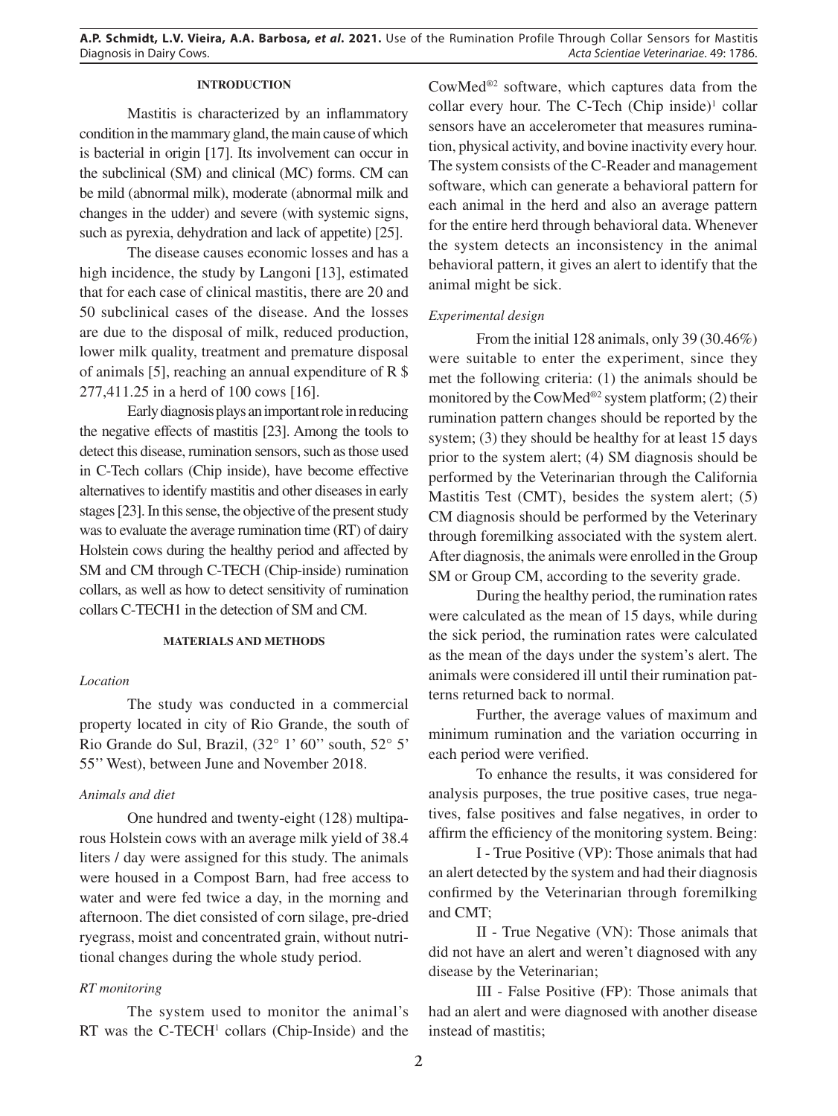## **INTRODUCTION**

Mastitis is characterized by an inflammatory condition in the mammary gland, the main cause of which is bacterial in origin [17]. Its involvement can occur in the subclinical (SM) and clinical (MC) forms. CM can be mild (abnormal milk), moderate (abnormal milk and changes in the udder) and severe (with systemic signs, such as pyrexia, dehydration and lack of appetite) [25].

The disease causes economic losses and has a high incidence, the study by Langoni [13], estimated that for each case of clinical mastitis, there are 20 and 50 subclinical cases of the disease. And the losses are due to the disposal of milk, reduced production, lower milk quality, treatment and premature disposal of animals [5], reaching an annual expenditure of R \$ 277,411.25 in a herd of 100 cows [16].

Early diagnosis plays an important role in reducing the negative effects of mastitis [23]. Among the tools to detect this disease, rumination sensors, such as those used in C-Tech collars (Chip inside), have become effective alternatives to identify mastitis and other diseases in early stages [23]. In this sense, the objective of the present study was to evaluate the average rumination time (RT) of dairy Holstein cows during the healthy period and affected by SM and CM through C-TECH (Chip-inside) rumination collars, as well as how to detect sensitivity of rumination collars C-TECH1 in the detection of SM and CM.

## **MATERIALS AND METHODS**

#### *Location*

The study was conducted in a commercial property located in city of Rio Grande, the south of Rio Grande do Sul, Brazil, (32° 1' 60'' south, 52° 5' 55'' West), between June and November 2018.

#### *Animals and diet*

One hundred and twenty-eight (128) multiparous Holstein cows with an average milk yield of 38.4 liters / day were assigned for this study. The animals were housed in a Compost Barn, had free access to water and were fed twice a day, in the morning and afternoon. The diet consisted of corn silage, pre-dried ryegrass, moist and concentrated grain, without nutritional changes during the whole study period.

## *RT monitoring*

The system used to monitor the animal's RT was the  $C$ -TECH<sup> $1$ </sup> collars (Chip-Inside) and the CowMed®2 software, which captures data from the collar every hour. The C-Tech  $(Chip\ inside)^1$  collar sensors have an accelerometer that measures rumination, physical activity, and bovine inactivity every hour. The system consists of the C-Reader and management software, which can generate a behavioral pattern for each animal in the herd and also an average pattern for the entire herd through behavioral data. Whenever the system detects an inconsistency in the animal behavioral pattern, it gives an alert to identify that the animal might be sick.

## *Experimental design*

From the initial 128 animals, only 39 (30.46%) were suitable to enter the experiment, since they met the following criteria: (1) the animals should be monitored by the CowMed<sup>®2</sup> system platform; (2) their rumination pattern changes should be reported by the system; (3) they should be healthy for at least 15 days prior to the system alert; (4) SM diagnosis should be performed by the Veterinarian through the California Mastitis Test (CMT), besides the system alert; (5) CM diagnosis should be performed by the Veterinary through foremilking associated with the system alert. After diagnosis, the animals were enrolled in the Group SM or Group CM, according to the severity grade.

During the healthy period, the rumination rates were calculated as the mean of 15 days, while during the sick period, the rumination rates were calculated as the mean of the days under the system's alert. The animals were considered ill until their rumination patterns returned back to normal.

Further, the average values of maximum and minimum rumination and the variation occurring in each period were verified.

To enhance the results, it was considered for analysis purposes, the true positive cases, true negatives, false positives and false negatives, in order to affirm the efficiency of the monitoring system. Being:

I - True Positive (VP): Those animals that had an alert detected by the system and had their diagnosis confirmed by the Veterinarian through foremilking and CMT;

II - True Negative (VN): Those animals that did not have an alert and weren't diagnosed with any disease by the Veterinarian;

III - False Positive (FP): Those animals that had an alert and were diagnosed with another disease instead of mastitis;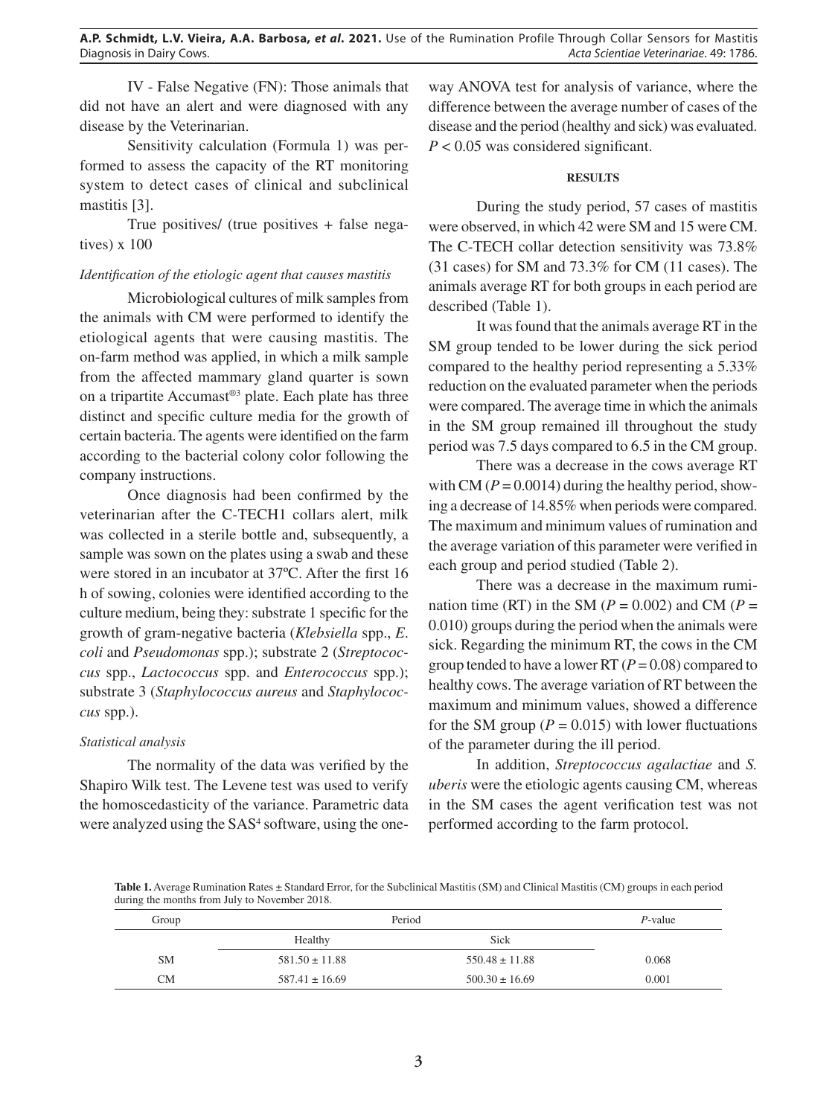IV - False Negative (FN): Those animals that did not have an alert and were diagnosed with any disease by the Veterinarian.

Sensitivity calculation (Formula 1) was performed to assess the capacity of the RT monitoring system to detect cases of clinical and subclinical mastitis [3].

True positives/ (true positives + false negatives) x 100

# *Identification of the etiologic agent that causes mastitis*

Microbiological cultures of milk samples from the animals with CM were performed to identify the etiological agents that were causing mastitis. The on-farm method was applied, in which a milk sample from the affected mammary gland quarter is sown on a tripartite Accumast®3 plate. Each plate has three distinct and specific culture media for the growth of certain bacteria. The agents were identified on the farm according to the bacterial colony color following the company instructions.

Once diagnosis had been confirmed by the veterinarian after the C-TECH1 collars alert, milk was collected in a sterile bottle and, subsequently, a sample was sown on the plates using a swab and these were stored in an incubator at 37ºC. After the first 16 h of sowing, colonies were identified according to the culture medium, being they: substrate 1 specific for the growth of gram-negative bacteria (*Klebsiella* spp., *E*. *coli* and *Pseudomonas* spp.); substrate 2 (*Streptococcus* spp., *Lactococcus* spp. and *Enterococcus* spp.); substrate 3 (*Staphylococcus aureus* and *Staphylococcus* spp.).

# *Statistical analysis*

The normality of the data was verified by the Shapiro Wilk test. The Levene test was used to verify the homoscedasticity of the variance. Parametric data were analyzed using the SAS<sup>4</sup> software, using the one-

way ANOVA test for analysis of variance, where the difference between the average number of cases of the disease and the period (healthy and sick) was evaluated. *P* < 0.05 was considered significant.

## **RESULTS**

During the study period, 57 cases of mastitis were observed, in which 42 were SM and 15 were CM. The C-TECH collar detection sensitivity was 73.8% (31 cases) for SM and 73.3% for CM (11 cases). The animals average RT for both groups in each period are described (Table 1).

It was found that the animals average RT in the SM group tended to be lower during the sick period compared to the healthy period representing a 5.33% reduction on the evaluated parameter when the periods were compared. The average time in which the animals in the SM group remained ill throughout the study period was 7.5 days compared to 6.5 in the CM group.

There was a decrease in the cows average RT with CM ( $P = 0.0014$ ) during the healthy period, showing a decrease of 14.85% when periods were compared. The maximum and minimum values of rumination and the average variation of this parameter were verified in each group and period studied (Table 2).

There was a decrease in the maximum rumination time (RT) in the SM ( $P = 0.002$ ) and CM ( $P =$ 0.010) groups during the period when the animals were sick. Regarding the minimum RT, the cows in the CM group tended to have a lower RT (*P* = 0.08) compared to healthy cows. The average variation of RT between the maximum and minimum values, showed a difference for the SM group ( $P = 0.015$ ) with lower fluctuations of the parameter during the ill period.

In addition, *Streptococcus agalactiae* and *S. uberis* were the etiologic agents causing CM, whereas in the SM cases the agent verification test was not performed according to the farm protocol.

**Table 1.** Average Rumination Rates ± Standard Error, for the Subclinical Mastitis (SM) and Clinical Mastitis (CM) groups in each period during the months from July to November 2018.

| Group     | Period             | $P$ -value         |       |
|-----------|--------------------|--------------------|-------|
|           | Healthy            | Sick               |       |
| <b>SM</b> | $581.50 \pm 11.88$ | $550.48 \pm 11.88$ | 0.068 |
| <b>CM</b> | $587.41 \pm 16.69$ | $500.30 \pm 16.69$ | 0.001 |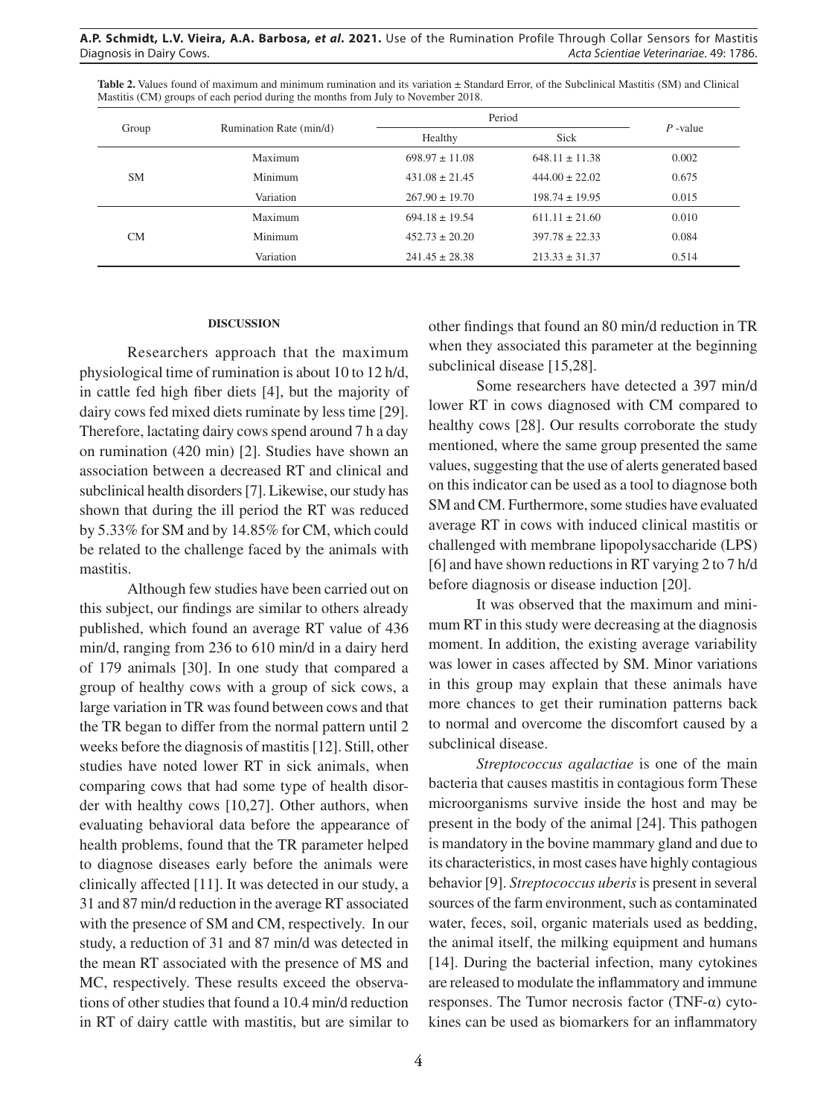| <b>Table 2.</b> Values found of maximum and minimum rumination and its variation $\pm$ Standard Error, of the Subclinical Mastitis (SM) and Clinical |  |
|------------------------------------------------------------------------------------------------------------------------------------------------------|--|
| Mastitis (CM) groups of each period during the months from July to November 2018.                                                                    |  |

| Group     | Rumination Rate (min/d) | Period             |                    | $P$ -value |
|-----------|-------------------------|--------------------|--------------------|------------|
|           |                         | Healthy            | <b>Sick</b>        |            |
| <b>SM</b> | Maximum                 | $698.97 \pm 11.08$ | $648.11 \pm 11.38$ | 0.002      |
|           | Minimum                 | $431.08 \pm 21.45$ | $444.00 \pm 22.02$ | 0.675      |
|           | Variation               | $267.90 \pm 19.70$ | $198.74 \pm 19.95$ | 0.015      |
| CM        | Maximum                 | $694.18 \pm 19.54$ | $611.11 \pm 21.60$ | 0.010      |
|           | Minimum                 | $452.73 \pm 20.20$ | $397.78 \pm 22.33$ | 0.084      |
|           | Variation               | $241.45 \pm 28.38$ | $213.33 \pm 31.37$ | 0.514      |

#### **DISCUSSION**

Researchers approach that the maximum physiological time of rumination is about 10 to 12 h/d, in cattle fed high fiber diets [4], but the majority of dairy cows fed mixed diets ruminate by less time [29]. Therefore, lactating dairy cows spend around 7 h a day on rumination (420 min) [2]. Studies have shown an association between a decreased RT and clinical and subclinical health disorders [7]. Likewise, our study has shown that during the ill period the RT was reduced by 5.33% for SM and by 14.85% for CM, which could be related to the challenge faced by the animals with mastitis.

Although few studies have been carried out on this subject, our findings are similar to others already published, which found an average RT value of 436 min/d, ranging from 236 to 610 min/d in a dairy herd of 179 animals [30]. In one study that compared a group of healthy cows with a group of sick cows, a large variation in TR was found between cows and that the TR began to differ from the normal pattern until 2 weeks before the diagnosis of mastitis [12]. Still, other studies have noted lower RT in sick animals, when comparing cows that had some type of health disorder with healthy cows [10,27]. Other authors, when evaluating behavioral data before the appearance of health problems, found that the TR parameter helped to diagnose diseases early before the animals were clinically affected [11]. It was detected in our study, a 31 and 87 min/d reduction in the average RT associated with the presence of SM and CM, respectively. In our study, a reduction of 31 and 87 min/d was detected in the mean RT associated with the presence of MS and MC, respectively. These results exceed the observations of other studies that found a 10.4 min/d reduction in RT of dairy cattle with mastitis, but are similar to other findings that found an 80 min/d reduction in TR when they associated this parameter at the beginning subclinical disease [15,28].

Some researchers have detected a 397 min/d lower RT in cows diagnosed with CM compared to healthy cows [28]. Our results corroborate the study mentioned, where the same group presented the same values, suggesting that the use of alerts generated based on this indicator can be used as a tool to diagnose both SM and CM. Furthermore, some studies have evaluated average RT in cows with induced clinical mastitis or challenged with membrane lipopolysaccharide (LPS) [6] and have shown reductions in RT varying 2 to 7 h/d before diagnosis or disease induction [20].

It was observed that the maximum and minimum RT in this study were decreasing at the diagnosis moment. In addition, the existing average variability was lower in cases affected by SM. Minor variations in this group may explain that these animals have more chances to get their rumination patterns back to normal and overcome the discomfort caused by a subclinical disease.

*Streptococcus agalactiae* is one of the main bacteria that causes mastitis in contagious form These microorganisms survive inside the host and may be present in the body of the animal [24]. This pathogen is mandatory in the bovine mammary gland and due to its characteristics, in most cases have highly contagious behavior [9]. *Streptococcus uberis* is present in several sources of the farm environment, such as contaminated water, feces, soil, organic materials used as bedding, the animal itself, the milking equipment and humans [14]. During the bacterial infection, many cytokines are released to modulate the inflammatory and immune responses. The Tumor necrosis factor (TNF-α) cytokines can be used as biomarkers for an inflammatory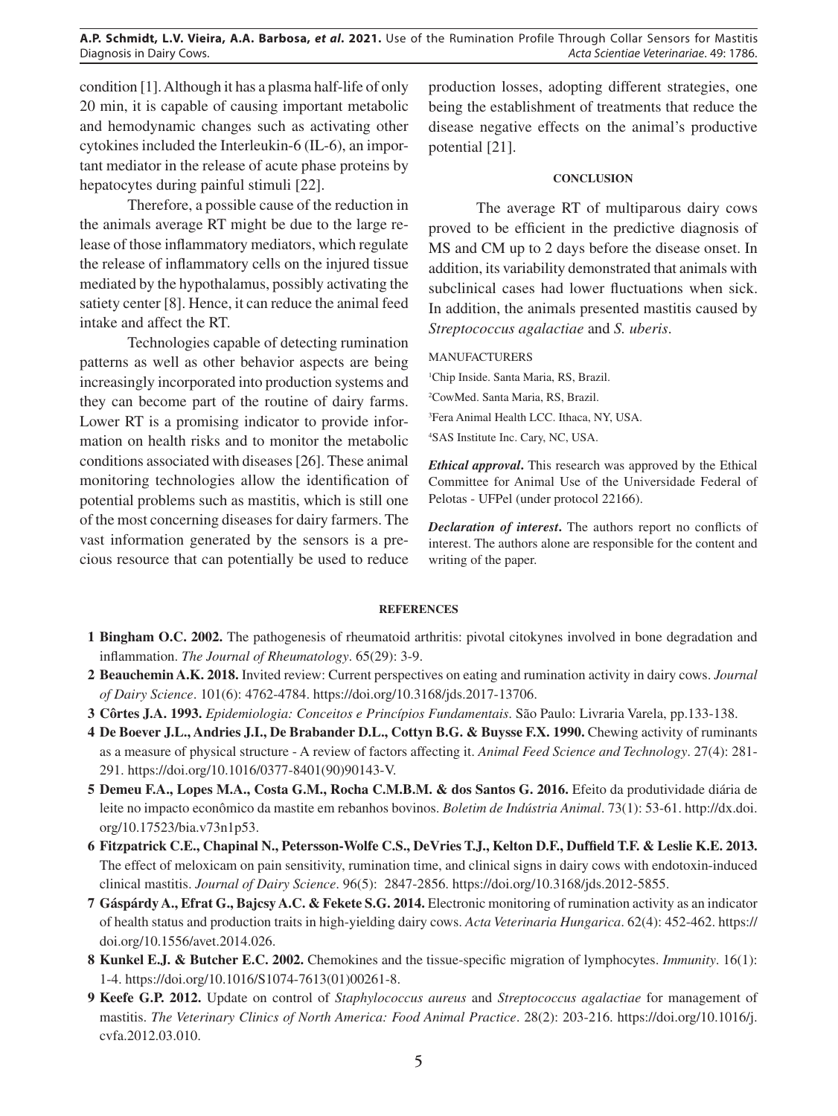**A.P. Schmidt, L.V. Vieira, A.A. Barbosa,** *et al***. 2021.** Use of the Rumination Profile Through Collar Sensors for Mastitis Diagnosis in Dairy Cows. *Acta Scientiae Veterinariae*. 49: 1786.

condition [1]. Although it has a plasma half-life of only 20 min, it is capable of causing important metabolic and hemodynamic changes such as activating other cytokines included the Interleukin-6 (IL-6), an important mediator in the release of acute phase proteins by hepatocytes during painful stimuli [22].

Therefore, a possible cause of the reduction in the animals average RT might be due to the large release of those inflammatory mediators, which regulate the release of inflammatory cells on the injured tissue mediated by the hypothalamus, possibly activating the satiety center [8]. Hence, it can reduce the animal feed intake and affect the RT.

Technologies capable of detecting rumination patterns as well as other behavior aspects are being increasingly incorporated into production systems and they can become part of the routine of dairy farms. Lower RT is a promising indicator to provide information on health risks and to monitor the metabolic conditions associated with diseases [26]. These animal monitoring technologies allow the identification of potential problems such as mastitis, which is still one of the most concerning diseases for dairy farmers. The vast information generated by the sensors is a precious resource that can potentially be used to reduce

production losses, adopting different strategies, one being the establishment of treatments that reduce the disease negative effects on the animal's productive potential [21].

#### **CONCLUSION**

The average RT of multiparous dairy cows proved to be efficient in the predictive diagnosis of MS and CM up to 2 days before the disease onset. In addition, its variability demonstrated that animals with subclinical cases had lower fluctuations when sick. In addition, the animals presented mastitis caused by *Streptococcus agalactiae* and *S. uberis*.

#### MANUFACTURERS

<sup>1</sup>Chip Inside. Santa Maria, RS, Brazil. CowMed. Santa Maria, RS, Brazil. Fera Animal Health LCC. Ithaca, NY, USA. SAS Institute Inc. Cary, NC, USA.

*Ethical approval***.** This research was approved by the Ethical Committee for Animal Use of the Universidade Federal of Pelotas - UFPel (under protocol 22166).

*Declaration of interest***.** The authors report no conflicts of interest. The authors alone are responsible for the content and writing of the paper.

#### **REFERENCES**

- **1 Bingham O.C. 2002.** The pathogenesis of rheumatoid arthritis: pivotal citokynes involved in bone degradation and inflammation. *The Journal of Rheumatology*. 65(29): 3-9.
- **2 Beauchemin A.K. 2018.** Invited review: Current perspectives on eating and rumination activity in dairy cows. *Journal of Dairy Science*. 101(6): 4762-4784. https://doi.org/10.3168/jds.2017-13706.
- **3 Côrtes J.A. 1993.** *Epidemiologia: Conceitos e Princípios Fundamentais*. São Paulo: Livraria Varela, pp.133-138.
- **4 De Boever J.L., Andries J.I., De Brabander D.L., Cottyn B.G. & Buysse F.X. 1990.** Chewing activity of ruminants as a measure of physical structure - A review of factors affecting it. *Animal Feed Science and Technology*. 27(4): 281- 291. https://doi.org/10.1016/0377-8401(90)90143-V.
- **5 Demeu F.A., Lopes M.A., Costa G.M., Rocha C.M.B.M. & dos Santos G. 2016.** Efeito da produtividade diária de leite no impacto econômico da mastite em rebanhos bovinos. *Boletim de Indústria Animal*. 73(1): 53-61. http://dx.doi. org/10.17523/bia.v73n1p53.
- **6 Fitzpatrick C.E., Chapinal N., Petersson-Wolfe C.S., DeVries T.J., Kelton D.F., Duffield T.F. & Leslie K.E. 2013.**  The effect of meloxicam on pain sensitivity, rumination time, and clinical signs in dairy cows with endotoxin-induced clinical mastitis. *Journal of Dairy Science*. 96(5): 2847-2856. https://doi.org/10.3168/jds.2012-5855.
- **7 Gáspárdy A., Efrat G., Bajcsy A.C. & Fekete S.G. 2014.** Electronic monitoring of rumination activity as an indicator of health status and production traits in high-yielding dairy cows. *Acta Veterinaria Hungarica*. 62(4): 452-462. https:// doi.org/10.1556/avet.2014.026.
- **8 Kunkel E.J. & Butcher E.C. 2002.** Chemokines and the tissue-specific migration of lymphocytes. *Immunity*. 16(1): 1-4. https://doi.org/10.1016/S1074-7613(01)00261-8.
- **9 Keefe G.P. 2012.** Update on control of *Staphylococcus aureus* and *Streptococcus agalactiae* for management of mastitis. *The Veterinary Clinics of North America: Food Animal Practice*. 28(2): 203-216. https://doi.org/10.1016/j. cvfa.2012.03.010.